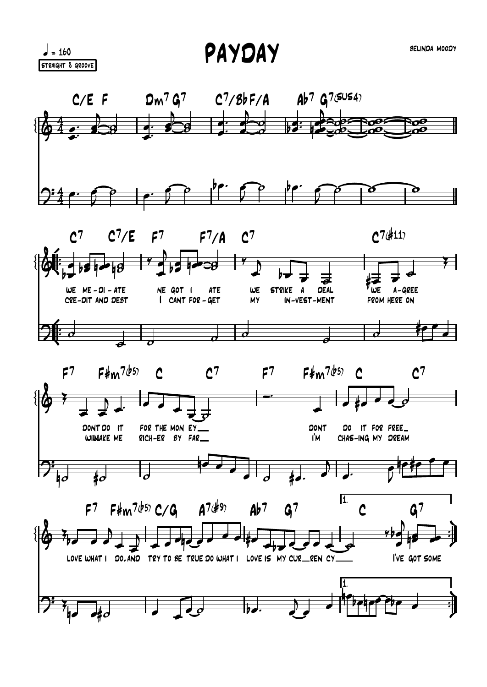PAYDAY

 $\frac{1}{2}$  = 160 STRAIGHT 8 GROOVE